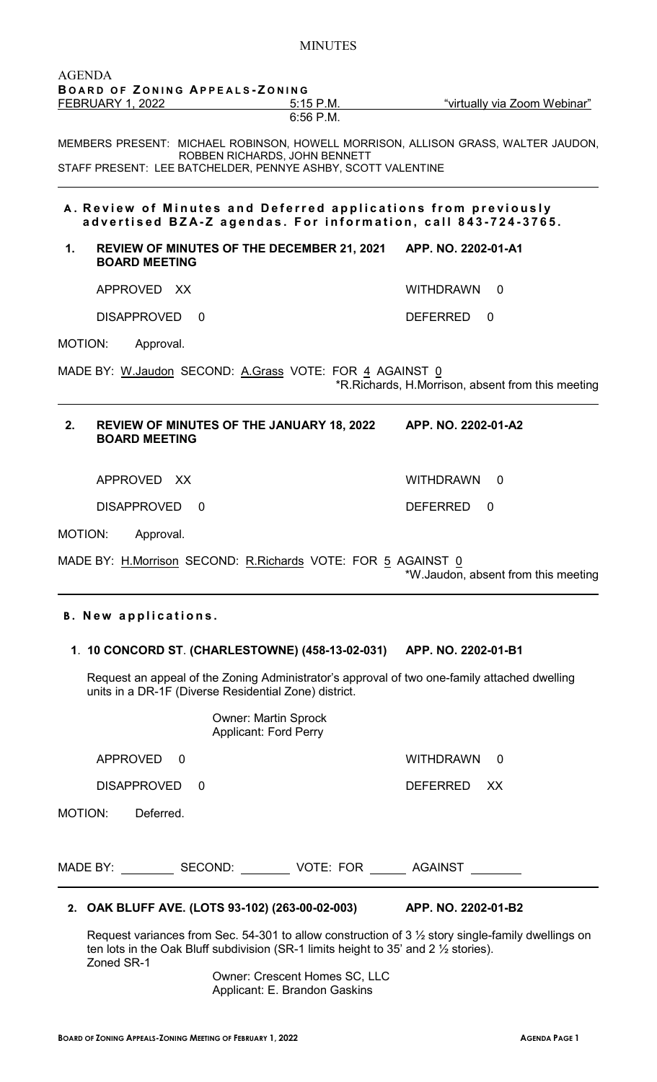6:56 P.M. MEMBERS PRESENT: MICHAEL ROBINSON, HOWELL MORRISON, ALLISON GRASS, WALTER JAUDON, ROBBEN RICHARDS, JOHN BENNETT STAFF PRESENT: LEE BATCHELDER, PENNYE ASHBY, SCOTT VALENTINE **A . Review of Minutes and Deferred applications from previously advertised BZA - Z agendas. For information , call 843 - 724 - 3765. 1. REVIEW OF MINUTES OF THE DECEMBER 21, 2021 APP. NO. 2202-01-A1 BOARD MEETING** APPROVED XX WITHDRAWN 0 DISAPPROVED 0 DEFERRED 0 MOTION: Approval. MADE BY: W.Jaudon SECOND: A.Grass VOTE: FOR 4 AGAINST 0 \*R.Richards, H.Morrison, absent from this meeting **2. REVIEW OF MINUTES OF THE JANUARY 18, 2022 APP. NO. 2202-01-A2 BOARD MEETING** APPROVED XX WITHDRAWN 0 DISAPPROVED 0 DEFERRED 0 MOTION: Approval. MADE BY: H.Morrison SECOND: R.Richards VOTE: FOR 5 AGAINST 0 \*W.Jaudon, absent from this meeting **B . New applications. 1**. **10 CONCORD ST**. **(CHARLESTOWNE) (458-13-02-031) APP. NO. 2202-01-B1**

Request an appeal of the Zoning Administrator's approval of two one-family attached dwelling units in a DR-1F (Diverse Residential Zone) district.

Owner: Martin Sprock

Applicant: Ford Perry APPROVED 0 WITHDRAWN 0 DISAPPROVED 0 DEFERRED XX MOTION: Deferred. MADE BY: \_\_\_\_\_\_\_\_\_\_\_SECOND: \_\_\_\_\_\_\_\_\_\_VOTE: FOR \_\_\_\_\_\_\_ AGAINST \_\_\_\_\_\_\_\_\_

Request variances from Sec. 54-301 to allow construction of 3 ½ story single-family dwellings on ten lots in the Oak Bluff subdivision (SR-1 limits height to 35' and 2  $\frac{1}{2}$  stories). Zoned SR-1

Owner: Crescent Homes SC, LLC Applicant: E. Brandon Gaskins

FEBRUARY 1, 2022 **5:15 P.M.** "virtually via Zoom Webinar"

AGENDA

**B OARD OF Z ONING A PPEALS - Z ONING**

## **2. OAK BLUFF AVE. (LOTS 93-102) (263-00-02-003) APP. NO. 2202-01-B2**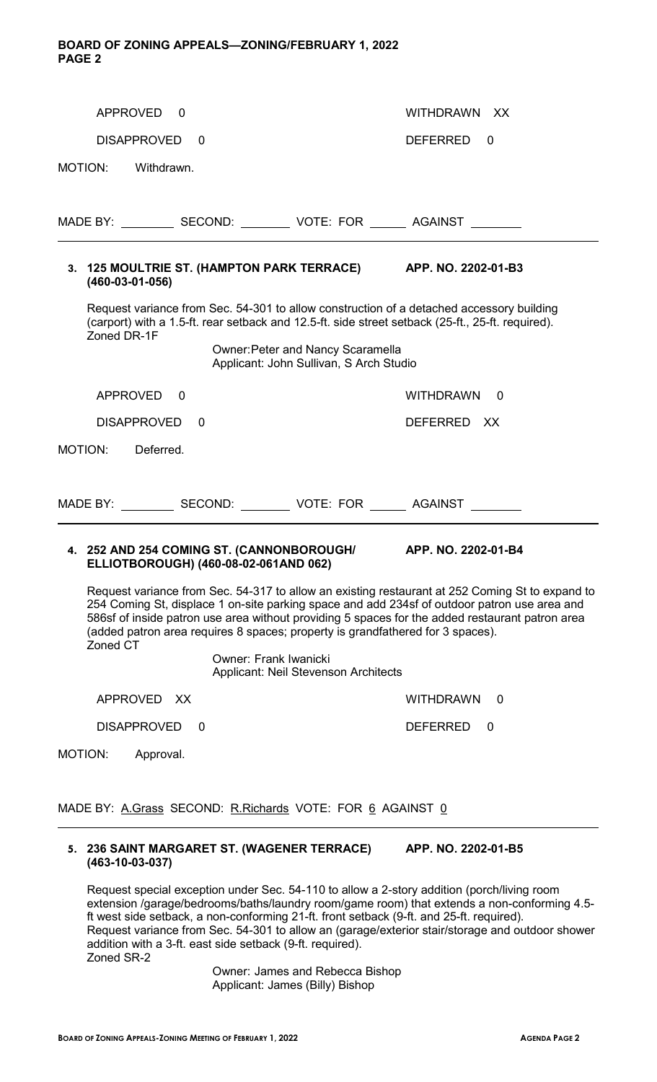## **BOARD OF ZONING APPEALS—ZONING/FEBRUARY 1, 2022 PAGE 2**

| APPROVED 0                                                                                                                                                                                                   | WITHDRAWN XX                                                                                                                                                                                                                                                                                       |
|--------------------------------------------------------------------------------------------------------------------------------------------------------------------------------------------------------------|----------------------------------------------------------------------------------------------------------------------------------------------------------------------------------------------------------------------------------------------------------------------------------------------------|
| DISAPPROVED<br>$\Omega$                                                                                                                                                                                      | DEFERRED<br>0                                                                                                                                                                                                                                                                                      |
| MOTION:<br>Withdrawn.                                                                                                                                                                                        |                                                                                                                                                                                                                                                                                                    |
|                                                                                                                                                                                                              |                                                                                                                                                                                                                                                                                                    |
| MADE BY: _____________ SECOND: ____________ VOTE: FOR ________ AGAINST _________                                                                                                                             |                                                                                                                                                                                                                                                                                                    |
| 3. 125 MOULTRIE ST. (HAMPTON PARK TERRACE) APP. NO. 2202-01-B3<br>$(460 - 03 - 01 - 056)$                                                                                                                    |                                                                                                                                                                                                                                                                                                    |
| Request variance from Sec. 54-301 to allow construction of a detached accessory building<br>(carport) with a 1.5-ft. rear setback and 12.5-ft. side street setback (25-ft., 25-ft. required).<br>Zoned DR-1F |                                                                                                                                                                                                                                                                                                    |
| <b>Owner: Peter and Nancy Scaramella</b><br>Applicant: John Sullivan, S Arch Studio                                                                                                                          |                                                                                                                                                                                                                                                                                                    |
| APPROVED 0                                                                                                                                                                                                   | WITHDRAWN 0                                                                                                                                                                                                                                                                                        |
| DISAPPROVED<br>$\Omega$                                                                                                                                                                                      | DEFERRED XX                                                                                                                                                                                                                                                                                        |
| MOTION:<br>Deferred.                                                                                                                                                                                         |                                                                                                                                                                                                                                                                                                    |
|                                                                                                                                                                                                              |                                                                                                                                                                                                                                                                                                    |
| MADE BY: _____________ SECOND: ____________ VOTE: FOR ________ AGAINST _________                                                                                                                             |                                                                                                                                                                                                                                                                                                    |
| 4. 252 AND 254 COMING ST. (CANNONBOROUGH/ APP. NO. 2202-01-B4<br>ELLIOTBOROUGH) (460-08-02-061AND 062)                                                                                                       |                                                                                                                                                                                                                                                                                                    |
| (added patron area requires 8 spaces; property is grandfathered for 3 spaces).<br>Zoned CT                                                                                                                   | Request variance from Sec. 54-317 to allow an existing restaurant at 252 Coming St to expand to<br>254 Coming St, displace 1 on-site parking space and add 234sf of outdoor patron use area and<br>586sf of inside patron use area without providing 5 spaces for the added restaurant patron area |
| <b>Owner: Frank Iwanicki</b><br>Applicant: Neil Stevenson Architects                                                                                                                                         |                                                                                                                                                                                                                                                                                                    |
| APPROVED XX                                                                                                                                                                                                  | <b>WITHDRAWN</b><br>0                                                                                                                                                                                                                                                                              |
| <b>DISAPPROVED</b><br>0                                                                                                                                                                                      | <b>DEFERRED</b><br>0                                                                                                                                                                                                                                                                               |
| MOTION:<br>Approval.                                                                                                                                                                                         |                                                                                                                                                                                                                                                                                                    |
| MADE BY: A.Grass SECOND: R.Richards VOTE: FOR 6 AGAINST 0                                                                                                                                                    |                                                                                                                                                                                                                                                                                                    |
| 5. 236 SAINT MARGARET ST. (WAGENER TERRACE)<br>$(463 - 10 - 03 - 037)$                                                                                                                                       | APP. NO. 2202-01-B5                                                                                                                                                                                                                                                                                |
| Request special exception under Sec. 54-110 to allow a 2-story addition (porch/living room                                                                                                                   |                                                                                                                                                                                                                                                                                                    |

extension /garage/bedrooms/baths/laundry room/game room) that extends a non-conforming 4.5 ft west side setback, a non-conforming 21-ft. front setback (9-ft. and 25-ft. required). Request variance from Sec. 54-301 to allow an (garage/exterior stair/storage and outdoor shower addition with a 3-ft. east side setback (9-ft. required). Zoned SR-2

Owner: James and Rebecca Bishop Applicant: James (Billy) Bishop